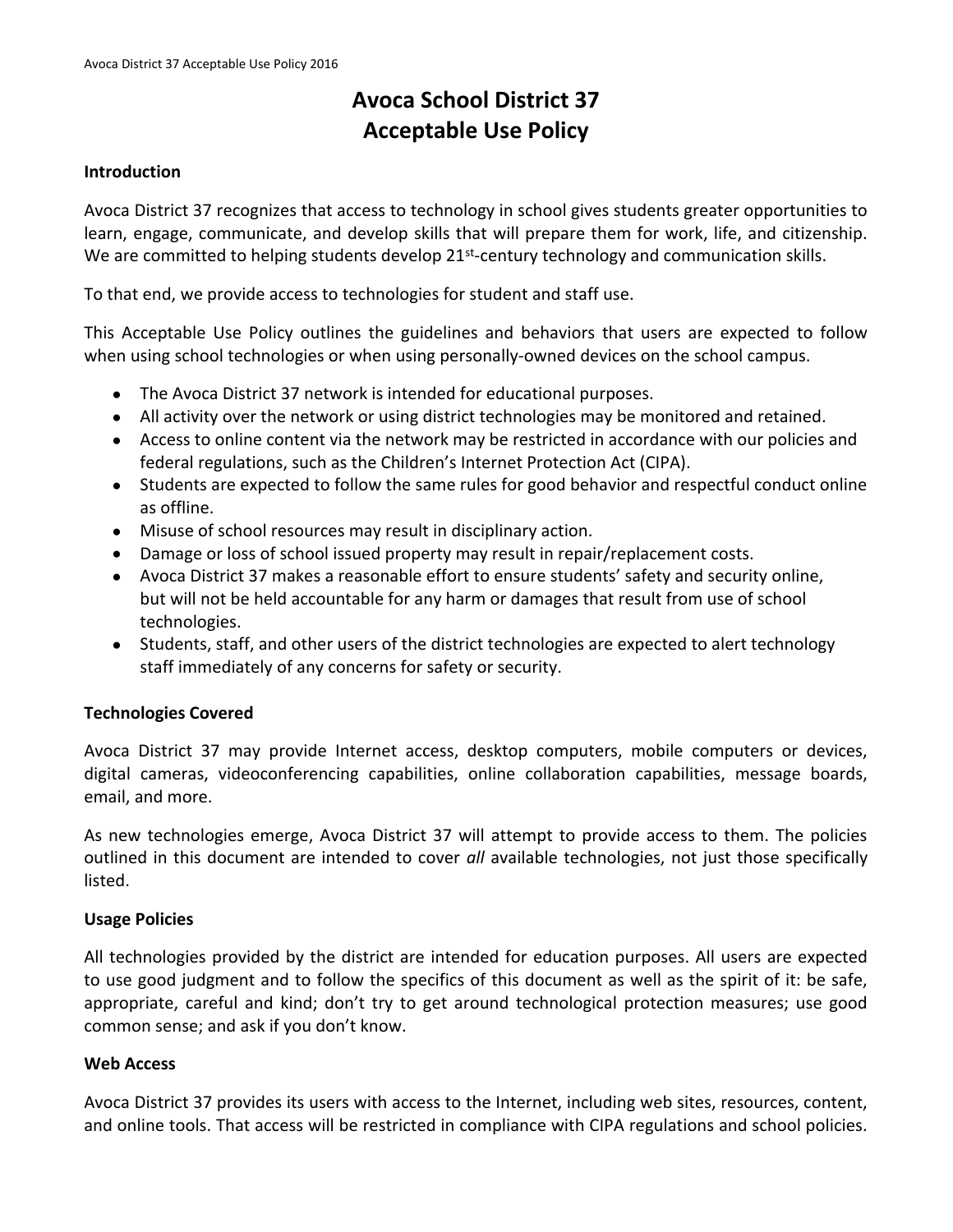# **Avoca School District 37 Acceptable Use Policy**

#### **Introduction**

Avoca District 37 recognizes that access to technology in school gives students greater opportunities to learn, engage, communicate, and develop skills that will prepare them for work, life, and citizenship. We are committed to helping students develop 21<sup>st</sup>-century technology and communication skills.

To that end, we provide access to technologies for student and staff use.

This Acceptable Use Policy outlines the guidelines and behaviors that users are expected to follow when using school technologies or when using personally-owned devices on the school campus.

- The Avoca District 37 network is intended for educational purposes.
- All activity over the network or using district technologies may be monitored and retained.
- Access to online content via the network may be restricted in accordance with our policies and federal regulations, such as the Children's Internet Protection Act (CIPA).
- Students are expected to follow the same rules for good behavior and respectful conduct online as offline.
- Misuse of school resources may result in disciplinary action.
- Damage or loss of school issued property may result in repair/replacement costs.
- Avoca District 37 makes a reasonable effort to ensure students' safety and security online, but will not be held accountable for any harm or damages that result from use of school technologies.
- Students, staff, and other users of the district technologies are expected to alert technology staff immediately of any concerns for safety or security.

## **Technologies Covered**

Avoca District 37 may provide Internet access, desktop computers, mobile computers or devices, digital cameras, videoconferencing capabilities, online collaboration capabilities, message boards, email, and more.

As new technologies emerge, Avoca District 37 will attempt to provide access to them. The policies outlined in this document are intended to cover *all* available technologies, not just those specifically listed.

#### **Usage Policies**

All technologies provided by the district are intended for education purposes. All users are expected to use good judgment and to follow the specifics of this document as well as the spirit of it: be safe, appropriate, careful and kind; don't try to get around technological protection measures; use good common sense; and ask if you don't know.

## **Web Access**

Avoca District 37 provides its users with access to the Internet, including web sites, resources, content, and online tools. That access will be restricted in compliance with CIPA regulations and school policies.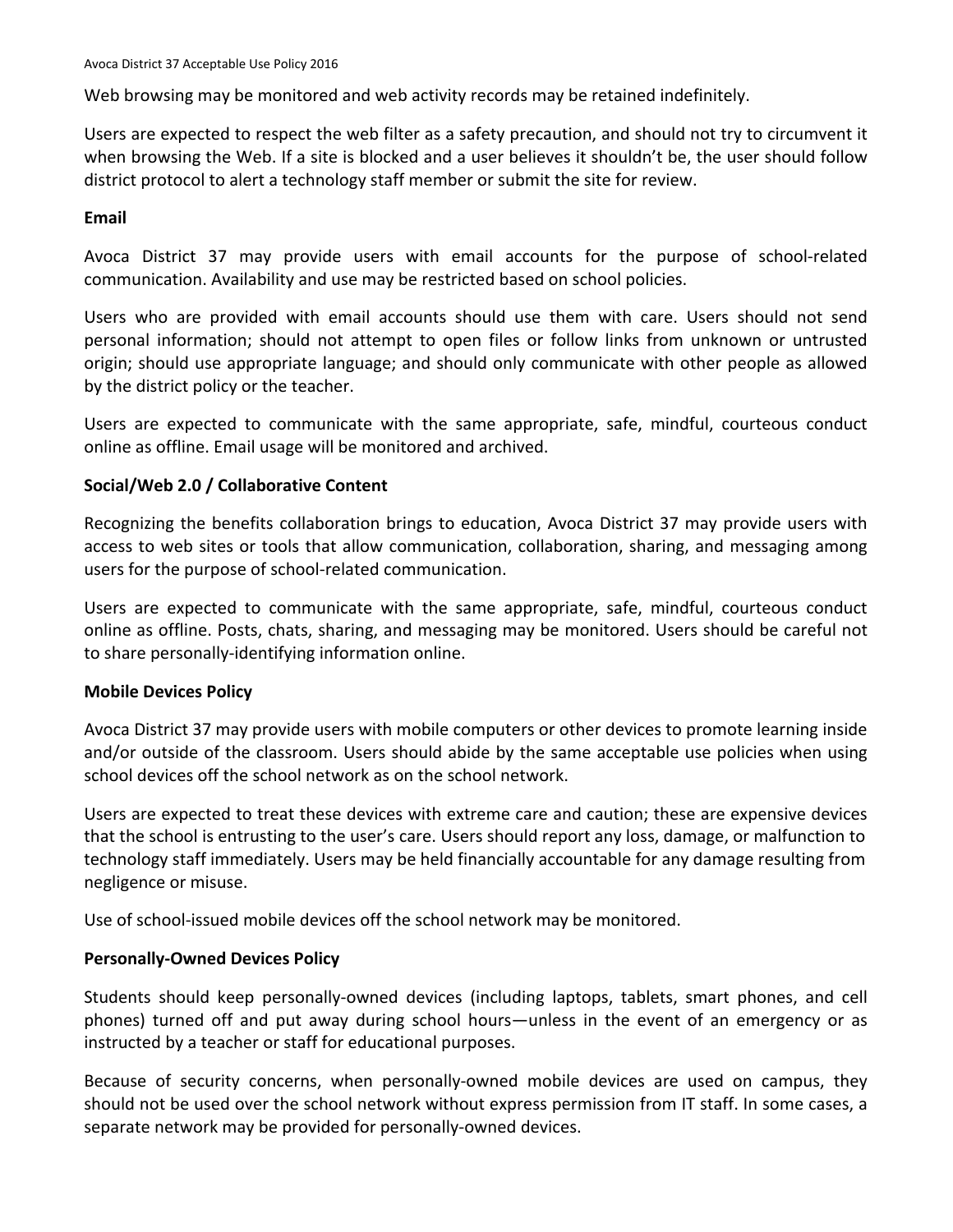Web browsing may be monitored and web activity records may be retained indefinitely.

Users are expected to respect the web filter as a safety precaution, and should not try to circumvent it when browsing the Web. If a site is blocked and a user believes it shouldn't be, the user should follow district protocol to alert a technology staff member or submit the site for review.

## **Email**

Avoca District 37 may provide users with email accounts for the purpose of school-related communication. Availability and use may be restricted based on school policies.

Users who are provided with email accounts should use them with care. Users should not send personal information; should not attempt to open files or follow links from unknown or untrusted origin; should use appropriate language; and should only communicate with other people as allowed by the district policy or the teacher.

Users are expected to communicate with the same appropriate, safe, mindful, courteous conduct online as offline. Email usage will be monitored and archived.

## **Social/Web 2.0 / Collaborative Content**

Recognizing the benefits collaboration brings to education, Avoca District 37 may provide users with access to web sites or tools that allow communication, collaboration, sharing, and messaging among users for the purpose of school-related communication.

Users are expected to communicate with the same appropriate, safe, mindful, courteous conduct online as offline. Posts, chats, sharing, and messaging may be monitored. Users should be careful not to share personally-identifying information online.

## **Mobile Devices Policy**

Avoca District 37 may provide users with mobile computers or other devices to promote learning inside and/or outside of the classroom. Users should abide by the same acceptable use policies when using school devices off the school network as on the school network.

Users are expected to treat these devices with extreme care and caution; these are expensive devices that the school is entrusting to the user's care. Users should report any loss, damage, or malfunction to technology staff immediately. Users may be held financially accountable for any damage resulting from negligence or misuse.

Use of school-issued mobile devices off the school network may be monitored.

## **Personally-Owned Devices Policy**

Students should keep personally-owned devices (including laptops, tablets, smart phones, and cell phones) turned off and put away during school hours—unless in the event of an emergency or as instructed by a teacher or staff for educational purposes.

Because of security concerns, when personally-owned mobile devices are used on campus, they should not be used over the school network without express permission from IT staff. In some cases, a separate network may be provided for personally-owned devices.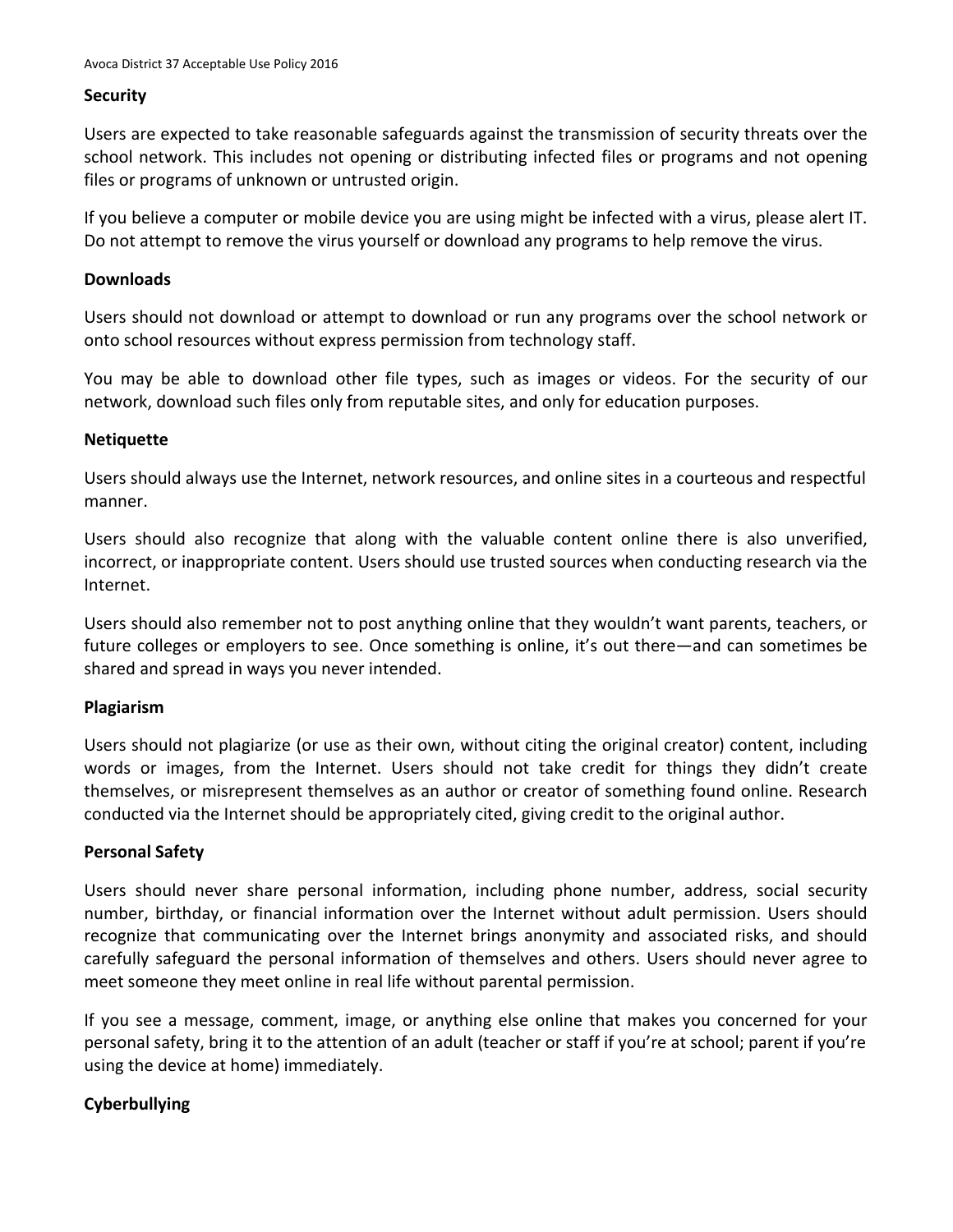#### **Security**

Users are expected to take reasonable safeguards against the transmission of security threats over the school network. This includes not opening or distributing infected files or programs and not opening files or programs of unknown or untrusted origin.

If you believe a computer or mobile device you are using might be infected with a virus, please alert IT. Do not attempt to remove the virus yourself or download any programs to help remove the virus.

#### **Downloads**

Users should not download or attempt to download or run any programs over the school network or onto school resources without express permission from technology staff.

You may be able to download other file types, such as images or videos. For the security of our network, download such files only from reputable sites, and only for education purposes.

#### **Netiquette**

Users should always use the Internet, network resources, and online sites in a courteous and respectful manner.

Users should also recognize that along with the valuable content online there is also unverified, incorrect, or inappropriate content. Users should use trusted sources when conducting research via the Internet.

Users should also remember not to post anything online that they wouldn't want parents, teachers, or future colleges or employers to see. Once something is online, it's out there—and can sometimes be shared and spread in ways you never intended.

## **Plagiarism**

Users should not plagiarize (or use as their own, without citing the original creator) content, including words or images, from the Internet. Users should not take credit for things they didn't create themselves, or misrepresent themselves as an author or creator of something found online. Research conducted via the Internet should be appropriately cited, giving credit to the original author.

## **Personal Safety**

Users should never share personal information, including phone number, address, social security number, birthday, or financial information over the Internet without adult permission. Users should recognize that communicating over the Internet brings anonymity and associated risks, and should carefully safeguard the personal information of themselves and others. Users should never agree to meet someone they meet online in real life without parental permission.

If you see a message, comment, image, or anything else online that makes you concerned for your personal safety, bring it to the attention of an adult (teacher or staff if you're at school; parent if you're using the device at home) immediately.

## **Cyberbullying**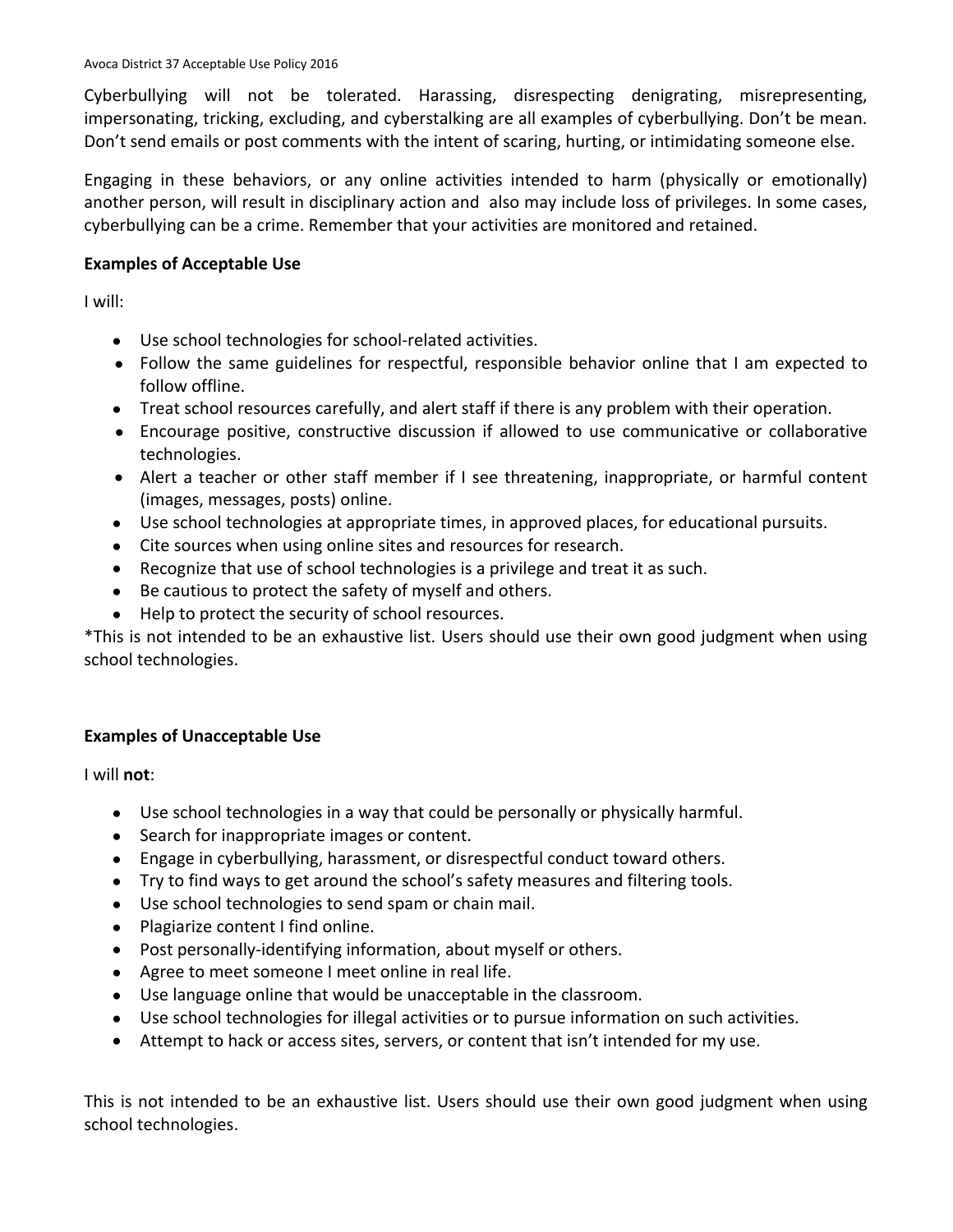Cyberbullying will not be tolerated. Harassing, disrespecting denigrating, misrepresenting, impersonating, tricking, excluding, and cyberstalking are all examples of cyberbullying. Don't be mean. Don't send emails or post comments with the intent of scaring, hurting, or intimidating someone else.

Engaging in these behaviors, or any online activities intended to harm (physically or emotionally) another person, will result in disciplinary action and also may include loss of privileges. In some cases, cyberbullying can be a crime. Remember that your activities are monitored and retained.

# **Examples of Acceptable Use**

I will:

- Use school technologies for school-related activities.
- Follow the same guidelines for respectful, responsible behavior online that I am expected to follow offline.
- Treat school resources carefully, and alert staff if there is any problem with their operation.
- Encourage positive, constructive discussion if allowed to use communicative or collaborative technologies.
- Alert a teacher or other staff member if I see threatening, inappropriate, or harmful content (images, messages, posts) online.
- Use school technologies at appropriate times, in approved places, for educational pursuits.
- Cite sources when using online sites and resources for research.
- Recognize that use of school technologies is a privilege and treat it as such.
- Be cautious to protect the safety of myself and others.
- Help to protect the security of school resources.

\*This is not intended to be an exhaustive list. Users should use their own good judgment when using school technologies.

# **Examples of Unacceptable Use**

I will **not**:

- Use school technologies in a way that could be personally or physically harmful.
- Search for inappropriate images or content.
- Engage in cyberbullying, harassment, or disrespectful conduct toward others.
- Try to find ways to get around the school's safety measures and filtering tools.
- Use school technologies to send spam or chain mail.
- Plagiarize content I find online.
- Post personally-identifying information, about myself or others.
- Agree to meet someone I meet online in real life.
- Use language online that would be unacceptable in the classroom.
- Use school technologies for illegal activities or to pursue information on such activities.
- Attempt to hack or access sites, servers, or content that isn't intended for my use.

This is not intended to be an exhaustive list. Users should use their own good judgment when using school technologies.